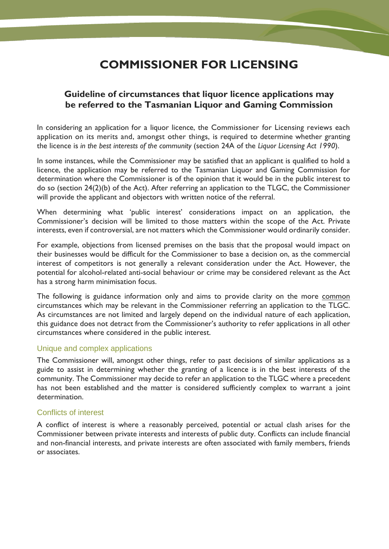# **COMMISSIONER FOR LICENSING**

# **Guideline of circumstances that liquor licence applications may be referred to the Tasmanian Liquor and Gaming Commission**

In considering an application for a liquor licence, the Commissioner for Licensing reviews each application on its merits and, amongst other things, is required to determine whether granting the licence is *in the best interests of the community* (section 24A of the *Liquor Licensing Act 1990*).

In some instances, while the Commissioner may be satisfied that an applicant is qualified to hold a licence, the application may be referred to the Tasmanian Liquor and Gaming Commission for determination where the Commissioner is of the opinion that it would be in the public interest to do so (section 24(2)(b) of the Act). After referring an application to the TLGC, the Commissioner will provide the applicant and objectors with written notice of the referral.

When determining what 'public interest' considerations impact on an application, the Commissioner's decision will be limited to those matters within the scope of the Act. Private interests, even if controversial, are not matters which the Commissioner would ordinarily consider.

For example, objections from licensed premises on the basis that the proposal would impact on their businesses would be difficult for the Commissioner to base a decision on, as the commercial interest of competitors is not generally a relevant consideration under the Act. However, the potential for alcohol-related anti-social behaviour or crime may be considered relevant as the Act has a strong harm minimisation focus.

The following is guidance information only and aims to provide clarity on the more common circumstances which may be relevant in the Commissioner referring an application to the TLGC. As circumstances are not limited and largely depend on the individual nature of each application, this guidance does not detract from the Commissioner's authority to refer applications in all other circumstances where considered in the public interest.

## Unique and complex applications

The Commissioner will, amongst other things, refer to past decisions of similar applications as a guide to assist in determining whether the granting of a licence is in the best interests of the community. The Commissioner may decide to refer an application to the TLGC where a precedent has not been established and the matter is considered sufficiently complex to warrant a joint determination.

## Conflicts of interest

A conflict of interest is where a reasonably perceived, potential or actual clash arises for the Commissioner between private interests and interests of public duty. Conflicts can include financial and non-financial interests, and private interests are often associated with family members, friends or associates.